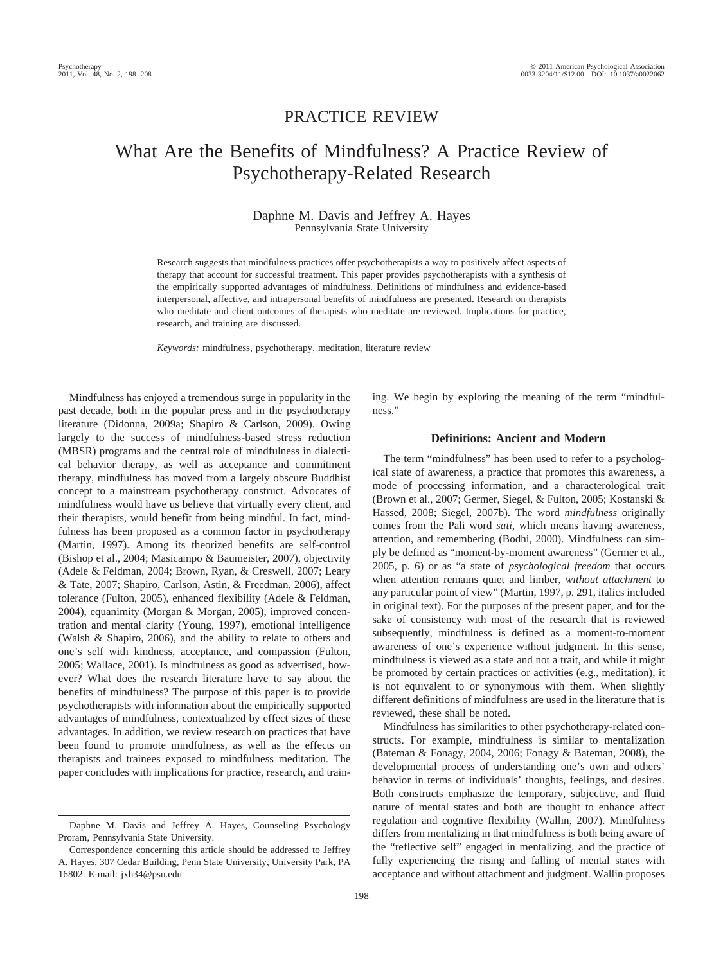## PRACTICE REVIEW

# What Are the Benefits of Mindfulness? A Practice Review of Psychotherapy-Related Research

## Daphne M. Davis and Jeffrey A. Hayes Pennsylvania State University

Research suggests that mindfulness practices offer psychotherapists a way to positively affect aspects of therapy that account for successful treatment. This paper provides psychotherapists with a synthesis of the empirically supported advantages of mindfulness. Definitions of mindfulness and evidence-based interpersonal, affective, and intrapersonal benefits of mindfulness are presented. Research on therapists who meditate and client outcomes of therapists who meditate are reviewed. Implications for practice, research, and training are discussed.

*Keywords:* mindfulness, psychotherapy, meditation, literature review

Mindfulness has enjoyed a tremendous surge in popularity in the past decade, both in the popular press and in the psychotherapy literature (Didonna, 2009a; Shapiro & Carlson, 2009). Owing largely to the success of mindfulness-based stress reduction (MBSR) programs and the central role of mindfulness in dialectical behavior therapy, as well as acceptance and commitment therapy, mindfulness has moved from a largely obscure Buddhist concept to a mainstream psychotherapy construct. Advocates of mindfulness would have us believe that virtually every client, and their therapists, would benefit from being mindful. In fact, mindfulness has been proposed as a common factor in psychotherapy (Martin, 1997). Among its theorized benefits are self-control (Bishop et al., 2004; Masicampo & Baumeister, 2007), objectivity (Adele & Feldman, 2004; Brown, Ryan, & Creswell, 2007; Leary & Tate, 2007; Shapiro, Carlson, Astin, & Freedman, 2006), affect tolerance (Fulton, 2005), enhanced flexibility (Adele & Feldman, 2004), equanimity (Morgan & Morgan, 2005), improved concentration and mental clarity (Young, 1997), emotional intelligence (Walsh & Shapiro, 2006), and the ability to relate to others and one's self with kindness, acceptance, and compassion (Fulton, 2005; Wallace, 2001). Is mindfulness as good as advertised, however? What does the research literature have to say about the benefits of mindfulness? The purpose of this paper is to provide psychotherapists with information about the empirically supported advantages of mindfulness, contextualized by effect sizes of these advantages. In addition, we review research on practices that have been found to promote mindfulness, as well as the effects on therapists and trainees exposed to mindfulness meditation. The paper concludes with implications for practice, research, and train-

ing. We begin by exploring the meaning of the term "mindfulness."

#### **Definitions: Ancient and Modern**

The term "mindfulness" has been used to refer to a psychological state of awareness, a practice that promotes this awareness, a mode of processing information, and a characterological trait (Brown et al., 2007; Germer, Siegel, & Fulton, 2005; Kostanski & Hassed, 2008; Siegel, 2007b). The word *mindfulness* originally comes from the Pali word *sati*, which means having awareness, attention, and remembering (Bodhi, 2000). Mindfulness can simply be defined as "moment-by-moment awareness" (Germer et al., 2005, p. 6) or as "a state of *psychological freedom* that occurs when attention remains quiet and limber, *without attachment* to any particular point of view" (Martin, 1997, p. 291, italics included in original text). For the purposes of the present paper, and for the sake of consistency with most of the research that is reviewed subsequently, mindfulness is defined as a moment-to-moment awareness of one's experience without judgment. In this sense, mindfulness is viewed as a state and not a trait, and while it might be promoted by certain practices or activities (e.g., meditation), it is not equivalent to or synonymous with them. When slightly different definitions of mindfulness are used in the literature that is reviewed, these shall be noted.

Mindfulness has similarities to other psychotherapy-related constructs. For example, mindfulness is similar to mentalization (Bateman & Fonagy, 2004, 2006; Fonagy & Bateman, 2008), the developmental process of understanding one's own and others' behavior in terms of individuals' thoughts, feelings, and desires. Both constructs emphasize the temporary, subjective, and fluid nature of mental states and both are thought to enhance affect regulation and cognitive flexibility (Wallin, 2007). Mindfulness differs from mentalizing in that mindfulness is both being aware of the "reflective self" engaged in mentalizing, and the practice of fully experiencing the rising and falling of mental states with acceptance and without attachment and judgment. Wallin proposes

Daphne M. Davis and Jeffrey A. Hayes, Counseling Psychology Proram, Pennsylvania State University.

Correspondence concerning this article should be addressed to Jeffrey A. Hayes, 307 Cedar Building, Penn State University, University Park, PA 16802. E-mail: jxh34@psu.edu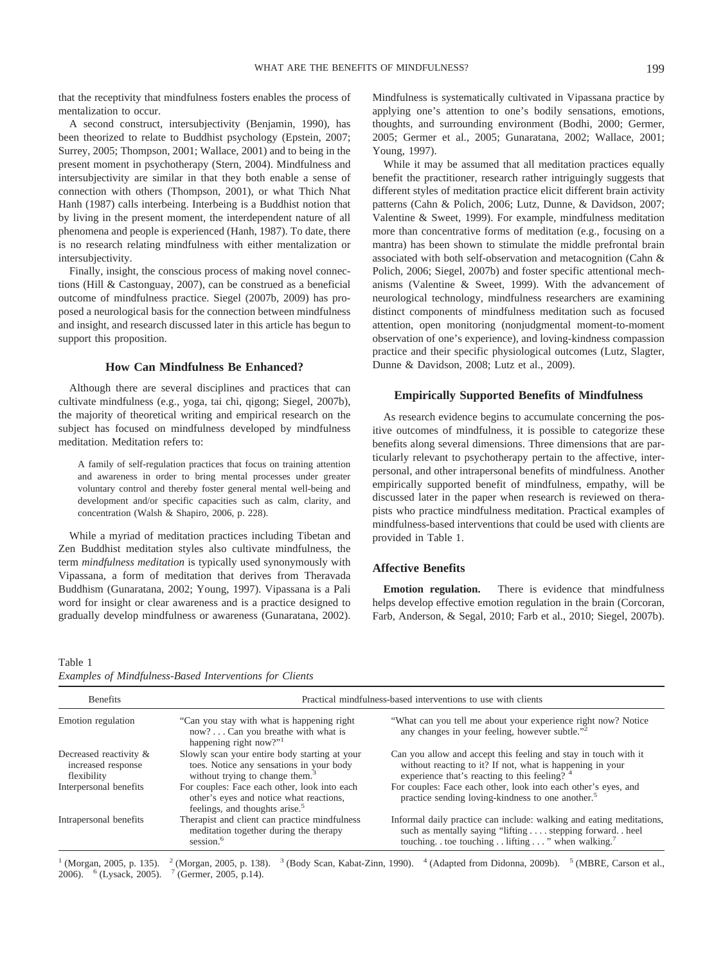that the receptivity that mindfulness fosters enables the process of mentalization to occur.

A second construct, intersubjectivity (Benjamin, 1990), has been theorized to relate to Buddhist psychology (Epstein, 2007; Surrey, 2005; Thompson, 2001; Wallace, 2001) and to being in the present moment in psychotherapy (Stern, 2004). Mindfulness and intersubjectivity are similar in that they both enable a sense of connection with others (Thompson, 2001), or what Thich Nhat Hanh (1987) calls interbeing. Interbeing is a Buddhist notion that by living in the present moment, the interdependent nature of all phenomena and people is experienced (Hanh, 1987). To date, there is no research relating mindfulness with either mentalization or intersubjectivity.

Finally, insight, the conscious process of making novel connections (Hill & Castonguay, 2007), can be construed as a beneficial outcome of mindfulness practice. Siegel (2007b, 2009) has proposed a neurological basis for the connection between mindfulness and insight, and research discussed later in this article has begun to support this proposition.

## **How Can Mindfulness Be Enhanced?**

Although there are several disciplines and practices that can cultivate mindfulness (e.g., yoga, tai chi, qigong; Siegel, 2007b), the majority of theoretical writing and empirical research on the subject has focused on mindfulness developed by mindfulness meditation. Meditation refers to:

A family of self-regulation practices that focus on training attention and awareness in order to bring mental processes under greater voluntary control and thereby foster general mental well-being and development and/or specific capacities such as calm, clarity, and concentration (Walsh & Shapiro, 2006, p. 228).

While a myriad of meditation practices including Tibetan and Zen Buddhist meditation styles also cultivate mindfulness, the term *mindfulness meditation* is typically used synonymously with Vipassana, a form of meditation that derives from Theravada Buddhism (Gunaratana, 2002; Young, 1997). Vipassana is a Pali word for insight or clear awareness and is a practice designed to gradually develop mindfulness or awareness (Gunaratana, 2002).

Mindfulness is systematically cultivated in Vipassana practice by applying one's attention to one's bodily sensations, emotions, thoughts, and surrounding environment (Bodhi, 2000; Germer, 2005; Germer et al., 2005; Gunaratana, 2002; Wallace, 2001; Young, 1997).

While it may be assumed that all meditation practices equally benefit the practitioner, research rather intriguingly suggests that different styles of meditation practice elicit different brain activity patterns (Cahn & Polich, 2006; Lutz, Dunne, & Davidson, 2007; Valentine & Sweet, 1999). For example, mindfulness meditation more than concentrative forms of meditation (e.g., focusing on a mantra) has been shown to stimulate the middle prefrontal brain associated with both self-observation and metacognition (Cahn & Polich, 2006; Siegel, 2007b) and foster specific attentional mechanisms (Valentine & Sweet, 1999). With the advancement of neurological technology, mindfulness researchers are examining distinct components of mindfulness meditation such as focused attention, open monitoring (nonjudgmental moment-to-moment observation of one's experience), and loving-kindness compassion practice and their specific physiological outcomes (Lutz, Slagter, Dunne & Davidson, 2008; Lutz et al., 2009).

### **Empirically Supported Benefits of Mindfulness**

As research evidence begins to accumulate concerning the positive outcomes of mindfulness, it is possible to categorize these benefits along several dimensions. Three dimensions that are particularly relevant to psychotherapy pertain to the affective, interpersonal, and other intrapersonal benefits of mindfulness. Another empirically supported benefit of mindfulness, empathy, will be discussed later in the paper when research is reviewed on therapists who practice mindfulness meditation. Practical examples of mindfulness-based interventions that could be used with clients are provided in Table 1.

## **Affective Benefits**

**Emotion regulation.** There is evidence that mindfulness helps develop effective emotion regulation in the brain (Corcoran, Farb, Anderson, & Segal, 2010; Farb et al., 2010; Siegel, 2007b).

Table 1

| Examples of Mindfulness-Based Interventions for Clients |  |  |
|---------------------------------------------------------|--|--|
|---------------------------------------------------------|--|--|

| <b>Benefits</b>                                             | Practical mindfulness-based interventions to use with clients                                                                         |                                                                                                                                                                                  |  |
|-------------------------------------------------------------|---------------------------------------------------------------------------------------------------------------------------------------|----------------------------------------------------------------------------------------------------------------------------------------------------------------------------------|--|
| Emotion regulation                                          | "Can you stay with what is happening right"<br>now?Can you breathe with what is<br>happening right now?" $1$                          | "What can you tell me about your experience right now? Notice<br>any changes in your feeling, however subtle." <sup>2</sup>                                                      |  |
| Decreased reactivity &<br>increased response<br>flexibility | Slowly scan your entire body starting at your<br>toes. Notice any sensations in your body<br>without trying to change them. $3$       | Can you allow and accept this feeling and stay in touch with it<br>without reacting to it? If not, what is happening in your<br>experience that's reacting to this feeling? 4    |  |
| Interpersonal benefits                                      | For couples: Face each other, look into each<br>other's eyes and notice what reactions,<br>feelings, and thoughts arise. <sup>5</sup> | For couples: Face each other, look into each other's eyes, and<br>practice sending loving-kindness to one another. <sup>5</sup>                                                  |  |
| Intrapersonal benefits                                      | Therapist and client can practice mindfulness<br>meditation together during the therapy<br>session. <sup>6</sup>                      | Informal daily practice can include: walking and eating meditations,<br>such as mentally saying "lifting stepping forward heel<br>touching toe touching lifting " when walking." |  |

<sup>1</sup> (Morgan, 2005, p. 135). <sup>2</sup> (Morgan, 2005, p. 138). <sup>3</sup> (Body Scan, Kabat-Zinn, 1990). <sup>4</sup> (Adapted from Didonna, 2009b). <sup>5</sup> (MBRE, Carson et al., 2006).  $\frac{6}{2}$  (Lysack, 2005).  $\frac{7}{2}$  (Germer, 2005, p.14).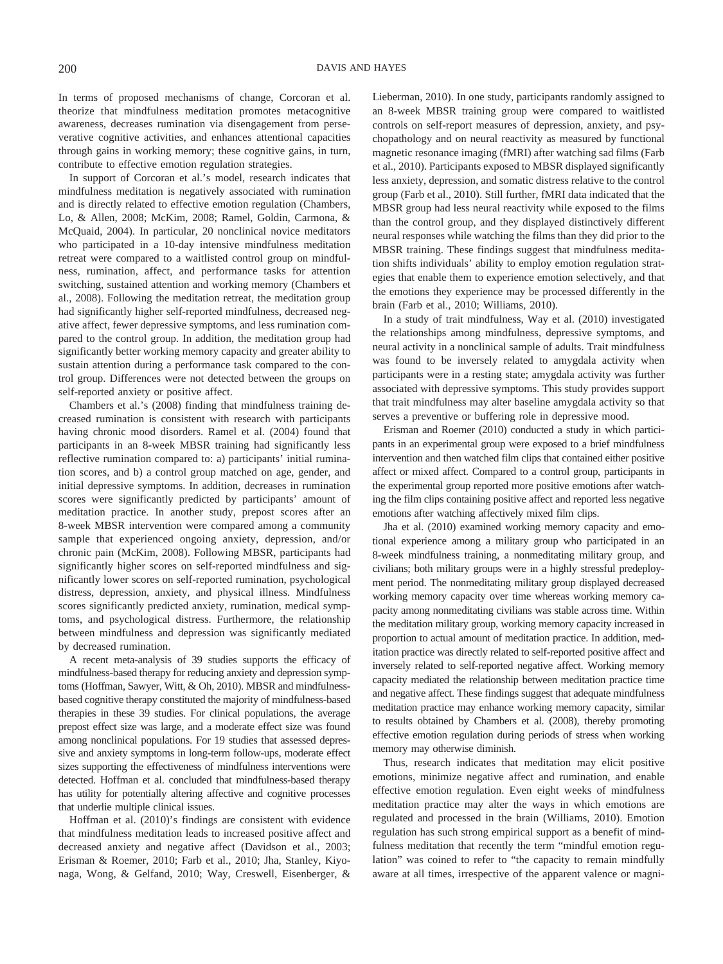In terms of proposed mechanisms of change, Corcoran et al. theorize that mindfulness meditation promotes metacognitive awareness, decreases rumination via disengagement from perseverative cognitive activities, and enhances attentional capacities through gains in working memory; these cognitive gains, in turn, contribute to effective emotion regulation strategies.

In support of Corcoran et al.'s model, research indicates that mindfulness meditation is negatively associated with rumination and is directly related to effective emotion regulation (Chambers, Lo, & Allen, 2008; McKim, 2008; Ramel, Goldin, Carmona, & McQuaid, 2004). In particular, 20 nonclinical novice meditators who participated in a 10-day intensive mindfulness meditation retreat were compared to a waitlisted control group on mindfulness, rumination, affect, and performance tasks for attention switching, sustained attention and working memory (Chambers et al., 2008). Following the meditation retreat, the meditation group had significantly higher self-reported mindfulness, decreased negative affect, fewer depressive symptoms, and less rumination compared to the control group. In addition, the meditation group had significantly better working memory capacity and greater ability to sustain attention during a performance task compared to the control group. Differences were not detected between the groups on self-reported anxiety or positive affect.

Chambers et al.'s (2008) finding that mindfulness training decreased rumination is consistent with research with participants having chronic mood disorders. Ramel et al. (2004) found that participants in an 8-week MBSR training had significantly less reflective rumination compared to: a) participants' initial rumination scores, and b) a control group matched on age, gender, and initial depressive symptoms. In addition, decreases in rumination scores were significantly predicted by participants' amount of meditation practice. In another study, prepost scores after an 8-week MBSR intervention were compared among a community sample that experienced ongoing anxiety, depression, and/or chronic pain (McKim, 2008). Following MBSR, participants had significantly higher scores on self-reported mindfulness and significantly lower scores on self-reported rumination, psychological distress, depression, anxiety, and physical illness. Mindfulness scores significantly predicted anxiety, rumination, medical symptoms, and psychological distress. Furthermore, the relationship between mindfulness and depression was significantly mediated by decreased rumination.

A recent meta-analysis of 39 studies supports the efficacy of mindfulness-based therapy for reducing anxiety and depression symptoms (Hoffman, Sawyer, Witt, & Oh, 2010). MBSR and mindfulnessbased cognitive therapy constituted the majority of mindfulness-based therapies in these 39 studies. For clinical populations, the average prepost effect size was large, and a moderate effect size was found among nonclinical populations. For 19 studies that assessed depressive and anxiety symptoms in long-term follow-ups, moderate effect sizes supporting the effectiveness of mindfulness interventions were detected. Hoffman et al. concluded that mindfulness-based therapy has utility for potentially altering affective and cognitive processes that underlie multiple clinical issues.

Hoffman et al. (2010)'s findings are consistent with evidence that mindfulness meditation leads to increased positive affect and decreased anxiety and negative affect (Davidson et al., 2003; Erisman & Roemer, 2010; Farb et al., 2010; Jha, Stanley, Kiyonaga, Wong, & Gelfand, 2010; Way, Creswell, Eisenberger, &

Lieberman, 2010). In one study, participants randomly assigned to an 8-week MBSR training group were compared to waitlisted controls on self-report measures of depression, anxiety, and psychopathology and on neural reactivity as measured by functional magnetic resonance imaging (fMRI) after watching sad films (Farb et al., 2010). Participants exposed to MBSR displayed significantly less anxiety, depression, and somatic distress relative to the control group (Farb et al., 2010). Still further, fMRI data indicated that the MBSR group had less neural reactivity while exposed to the films than the control group, and they displayed distinctively different neural responses while watching the films than they did prior to the MBSR training. These findings suggest that mindfulness meditation shifts individuals' ability to employ emotion regulation strategies that enable them to experience emotion selectively, and that the emotions they experience may be processed differently in the brain (Farb et al., 2010; Williams, 2010).

In a study of trait mindfulness, Way et al. (2010) investigated the relationships among mindfulness, depressive symptoms, and neural activity in a nonclinical sample of adults. Trait mindfulness was found to be inversely related to amygdala activity when participants were in a resting state; amygdala activity was further associated with depressive symptoms. This study provides support that trait mindfulness may alter baseline amygdala activity so that serves a preventive or buffering role in depressive mood.

Erisman and Roemer (2010) conducted a study in which participants in an experimental group were exposed to a brief mindfulness intervention and then watched film clips that contained either positive affect or mixed affect. Compared to a control group, participants in the experimental group reported more positive emotions after watching the film clips containing positive affect and reported less negative emotions after watching affectively mixed film clips.

Jha et al. (2010) examined working memory capacity and emotional experience among a military group who participated in an 8-week mindfulness training, a nonmeditating military group, and civilians; both military groups were in a highly stressful predeployment period. The nonmeditating military group displayed decreased working memory capacity over time whereas working memory capacity among nonmeditating civilians was stable across time. Within the meditation military group, working memory capacity increased in proportion to actual amount of meditation practice. In addition, meditation practice was directly related to self-reported positive affect and inversely related to self-reported negative affect. Working memory capacity mediated the relationship between meditation practice time and negative affect. These findings suggest that adequate mindfulness meditation practice may enhance working memory capacity, similar to results obtained by Chambers et al. (2008), thereby promoting effective emotion regulation during periods of stress when working memory may otherwise diminish.

Thus, research indicates that meditation may elicit positive emotions, minimize negative affect and rumination, and enable effective emotion regulation. Even eight weeks of mindfulness meditation practice may alter the ways in which emotions are regulated and processed in the brain (Williams, 2010). Emotion regulation has such strong empirical support as a benefit of mindfulness meditation that recently the term "mindful emotion regulation" was coined to refer to "the capacity to remain mindfully aware at all times, irrespective of the apparent valence or magni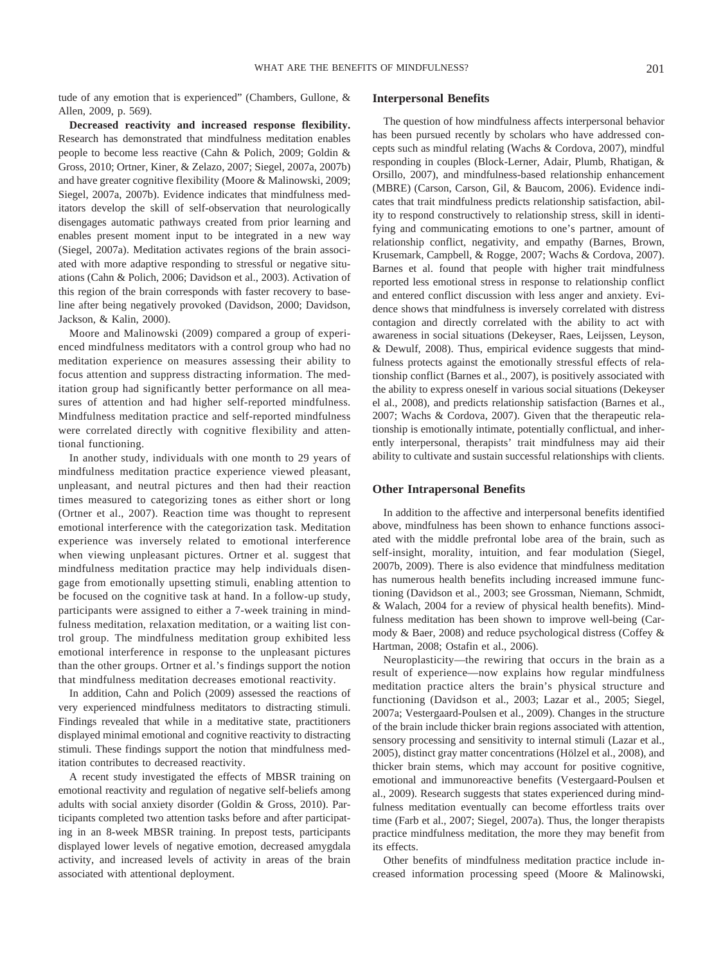tude of any emotion that is experienced" (Chambers, Gullone, & Allen, 2009, p. 569).

**Decreased reactivity and increased response flexibility.** Research has demonstrated that mindfulness meditation enables people to become less reactive (Cahn & Polich, 2009; Goldin & Gross, 2010; Ortner, Kiner, & Zelazo, 2007; Siegel, 2007a, 2007b) and have greater cognitive flexibility (Moore & Malinowski, 2009; Siegel, 2007a, 2007b). Evidence indicates that mindfulness meditators develop the skill of self-observation that neurologically disengages automatic pathways created from prior learning and enables present moment input to be integrated in a new way (Siegel, 2007a). Meditation activates regions of the brain associated with more adaptive responding to stressful or negative situations (Cahn & Polich, 2006; Davidson et al., 2003). Activation of this region of the brain corresponds with faster recovery to baseline after being negatively provoked (Davidson, 2000; Davidson, Jackson, & Kalin, 2000).

Moore and Malinowski (2009) compared a group of experienced mindfulness meditators with a control group who had no meditation experience on measures assessing their ability to focus attention and suppress distracting information. The meditation group had significantly better performance on all measures of attention and had higher self-reported mindfulness. Mindfulness meditation practice and self-reported mindfulness were correlated directly with cognitive flexibility and attentional functioning.

In another study, individuals with one month to 29 years of mindfulness meditation practice experience viewed pleasant, unpleasant, and neutral pictures and then had their reaction times measured to categorizing tones as either short or long (Ortner et al., 2007). Reaction time was thought to represent emotional interference with the categorization task. Meditation experience was inversely related to emotional interference when viewing unpleasant pictures. Ortner et al. suggest that mindfulness meditation practice may help individuals disengage from emotionally upsetting stimuli, enabling attention to be focused on the cognitive task at hand. In a follow-up study, participants were assigned to either a 7-week training in mindfulness meditation, relaxation meditation, or a waiting list control group. The mindfulness meditation group exhibited less emotional interference in response to the unpleasant pictures than the other groups. Ortner et al.'s findings support the notion that mindfulness meditation decreases emotional reactivity.

In addition, Cahn and Polich (2009) assessed the reactions of very experienced mindfulness meditators to distracting stimuli. Findings revealed that while in a meditative state, practitioners displayed minimal emotional and cognitive reactivity to distracting stimuli. These findings support the notion that mindfulness meditation contributes to decreased reactivity.

A recent study investigated the effects of MBSR training on emotional reactivity and regulation of negative self-beliefs among adults with social anxiety disorder (Goldin & Gross, 2010). Participants completed two attention tasks before and after participating in an 8-week MBSR training. In prepost tests, participants displayed lower levels of negative emotion, decreased amygdala activity, and increased levels of activity in areas of the brain associated with attentional deployment.

## **Interpersonal Benefits**

The question of how mindfulness affects interpersonal behavior has been pursued recently by scholars who have addressed concepts such as mindful relating (Wachs & Cordova, 2007), mindful responding in couples (Block-Lerner, Adair, Plumb, Rhatigan, & Orsillo, 2007), and mindfulness-based relationship enhancement (MBRE) (Carson, Carson, Gil, & Baucom, 2006). Evidence indicates that trait mindfulness predicts relationship satisfaction, ability to respond constructively to relationship stress, skill in identifying and communicating emotions to one's partner, amount of relationship conflict, negativity, and empathy (Barnes, Brown, Krusemark, Campbell, & Rogge, 2007; Wachs & Cordova, 2007). Barnes et al. found that people with higher trait mindfulness reported less emotional stress in response to relationship conflict and entered conflict discussion with less anger and anxiety. Evidence shows that mindfulness is inversely correlated with distress contagion and directly correlated with the ability to act with awareness in social situations (Dekeyser, Raes, Leijssen, Leyson, & Dewulf, 2008). Thus, empirical evidence suggests that mindfulness protects against the emotionally stressful effects of relationship conflict (Barnes et al., 2007), is positively associated with the ability to express oneself in various social situations (Dekeyser el al., 2008), and predicts relationship satisfaction (Barnes et al., 2007; Wachs & Cordova, 2007). Given that the therapeutic relationship is emotionally intimate, potentially conflictual, and inherently interpersonal, therapists' trait mindfulness may aid their ability to cultivate and sustain successful relationships with clients.

### **Other Intrapersonal Benefits**

In addition to the affective and interpersonal benefits identified above, mindfulness has been shown to enhance functions associated with the middle prefrontal lobe area of the brain, such as self-insight, morality, intuition, and fear modulation (Siegel, 2007b, 2009). There is also evidence that mindfulness meditation has numerous health benefits including increased immune functioning (Davidson et al., 2003; see Grossman, Niemann, Schmidt, & Walach, 2004 for a review of physical health benefits). Mindfulness meditation has been shown to improve well-being (Carmody & Baer, 2008) and reduce psychological distress (Coffey & Hartman, 2008; Ostafin et al., 2006).

Neuroplasticity—the rewiring that occurs in the brain as a result of experience—now explains how regular mindfulness meditation practice alters the brain's physical structure and functioning (Davidson et al., 2003; Lazar et al., 2005; Siegel, 2007a; Vestergaard-Poulsen et al., 2009). Changes in the structure of the brain include thicker brain regions associated with attention, sensory processing and sensitivity to internal stimuli (Lazar et al., 2005), distinct gray matter concentrations (Hölzel et al., 2008), and thicker brain stems, which may account for positive cognitive, emotional and immunoreactive benefits (Vestergaard-Poulsen et al., 2009). Research suggests that states experienced during mindfulness meditation eventually can become effortless traits over time (Farb et al., 2007; Siegel, 2007a). Thus, the longer therapists practice mindfulness meditation, the more they may benefit from its effects.

Other benefits of mindfulness meditation practice include increased information processing speed (Moore & Malinowski,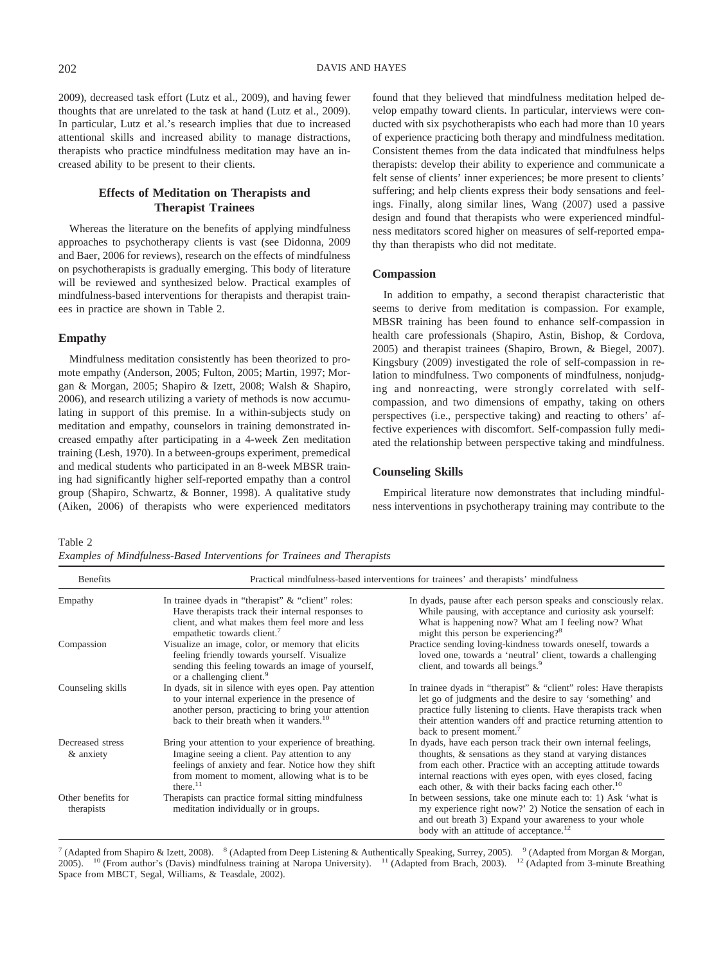2009), decreased task effort (Lutz et al., 2009), and having fewer thoughts that are unrelated to the task at hand (Lutz et al., 2009). In particular, Lutz et al.'s research implies that due to increased attentional skills and increased ability to manage distractions, therapists who practice mindfulness meditation may have an increased ability to be present to their clients.

## **Effects of Meditation on Therapists and Therapist Trainees**

Whereas the literature on the benefits of applying mindfulness approaches to psychotherapy clients is vast (see Didonna, 2009 and Baer, 2006 for reviews), research on the effects of mindfulness on psychotherapists is gradually emerging. This body of literature will be reviewed and synthesized below. Practical examples of mindfulness-based interventions for therapists and therapist trainees in practice are shown in Table 2.

#### **Empathy**

Mindfulness meditation consistently has been theorized to promote empathy (Anderson, 2005; Fulton, 2005; Martin, 1997; Morgan & Morgan, 2005; Shapiro & Izett, 2008; Walsh & Shapiro, 2006), and research utilizing a variety of methods is now accumulating in support of this premise. In a within-subjects study on meditation and empathy, counselors in training demonstrated increased empathy after participating in a 4-week Zen meditation training (Lesh, 1970). In a between-groups experiment, premedical and medical students who participated in an 8-week MBSR training had significantly higher self-reported empathy than a control group (Shapiro, Schwartz, & Bonner, 1998). A qualitative study (Aiken, 2006) of therapists who were experienced meditators

found that they believed that mindfulness meditation helped develop empathy toward clients. In particular, interviews were conducted with six psychotherapists who each had more than 10 years of experience practicing both therapy and mindfulness meditation. Consistent themes from the data indicated that mindfulness helps therapists: develop their ability to experience and communicate a felt sense of clients' inner experiences; be more present to clients' suffering; and help clients express their body sensations and feelings. Finally, along similar lines, Wang (2007) used a passive design and found that therapists who were experienced mindfulness meditators scored higher on measures of self-reported empathy than therapists who did not meditate.

#### **Compassion**

In addition to empathy, a second therapist characteristic that seems to derive from meditation is compassion. For example, MBSR training has been found to enhance self-compassion in health care professionals (Shapiro, Astin, Bishop, & Cordova, 2005) and therapist trainees (Shapiro, Brown, & Biegel, 2007). Kingsbury (2009) investigated the role of self-compassion in relation to mindfulness. Two components of mindfulness, nonjudging and nonreacting, were strongly correlated with selfcompassion, and two dimensions of empathy, taking on others perspectives (i.e., perspective taking) and reacting to others' affective experiences with discomfort. Self-compassion fully mediated the relationship between perspective taking and mindfulness.

#### **Counseling Skills**

Empirical literature now demonstrates that including mindfulness interventions in psychotherapy training may contribute to the

Table 2

*Examples of Mindfulness-Based Interventions for Trainees and Therapists*

| <b>Benefits</b>                  |                                                                                                                                                                                                                               | Practical mindfulness-based interventions for trainees' and therapists' mindfulness                                                                                                                                                                                                                                             |  |  |
|----------------------------------|-------------------------------------------------------------------------------------------------------------------------------------------------------------------------------------------------------------------------------|---------------------------------------------------------------------------------------------------------------------------------------------------------------------------------------------------------------------------------------------------------------------------------------------------------------------------------|--|--|
| Empathy                          | In trainee dyads in "therapist" $\&$ "client" roles:<br>Have therapists track their internal responses to<br>client, and what makes them feel more and less<br>empathetic towards client. <sup>7</sup>                        | In dyads, pause after each person speaks and consciously relax.<br>While pausing, with acceptance and curiosity ask yourself:<br>What is happening now? What am I feeling now? What<br>might this person be experiencing? <sup>8</sup>                                                                                          |  |  |
| Compassion                       | Visualize an image, color, or memory that elicits<br>feeling friendly towards yourself. Visualize<br>sending this feeling towards an image of yourself,<br>or a challenging client. <sup>9</sup>                              | Practice sending loving-kindness towards oneself, towards a<br>loved one, towards a 'neutral' client, towards a challenging<br>client, and towards all beings. <sup>9</sup>                                                                                                                                                     |  |  |
| Counseling skills                | In dyads, sit in silence with eyes open. Pay attention<br>to your internal experience in the presence of<br>another person, practicing to bring your attention<br>back to their breath when it wanders. <sup>10</sup>         | In trainee dyads in "therapist" $\&$ "client" roles: Have therapists<br>let go of judgments and the desire to say 'something' and<br>practice fully listening to clients. Have therapists track when<br>their attention wanders off and practice returning attention to<br>back to present moment. <sup>7</sup>                 |  |  |
| Decreased stress<br>& anxiety    | Bring your attention to your experience of breathing.<br>Imagine seeing a client. Pay attention to any<br>feelings of anxiety and fear. Notice how they shift<br>from moment to moment, allowing what is to be<br>there. $11$ | In dyads, have each person track their own internal feelings,<br>thoughts, & sensations as they stand at varying distances<br>from each other. Practice with an accepting attitude towards<br>internal reactions with eyes open, with eyes closed, facing<br>each other, $\&$ with their backs facing each other. <sup>10</sup> |  |  |
| Other benefits for<br>therapists | Therapists can practice formal sitting mindfulness<br>meditation individually or in groups.                                                                                                                                   | In between sessions, take one minute each to: 1) Ask 'what is<br>my experience right now?' 2) Notice the sensation of each in<br>and out breath 3) Expand your awareness to your whole<br>body with an attitude of acceptance. <sup>12</sup>                                                                                    |  |  |

<sup>7</sup> (Adapted from Shapiro & Izett, 2008). <sup>8</sup> (Adapted from Deep Listening & Authentically Speaking, Surrey, 2005). <sup>9</sup> (Adapted from Morgan & Morgan, 2005). <sup>10</sup> (From author's (Davis) mindfulness training at Naropa University). <sup>11</sup> (Adapted from Brach, 2003). <sup>12</sup> (Adapted from 3-minute Breathing Space from MBCT, Segal, Williams, & Teasdale, 2002).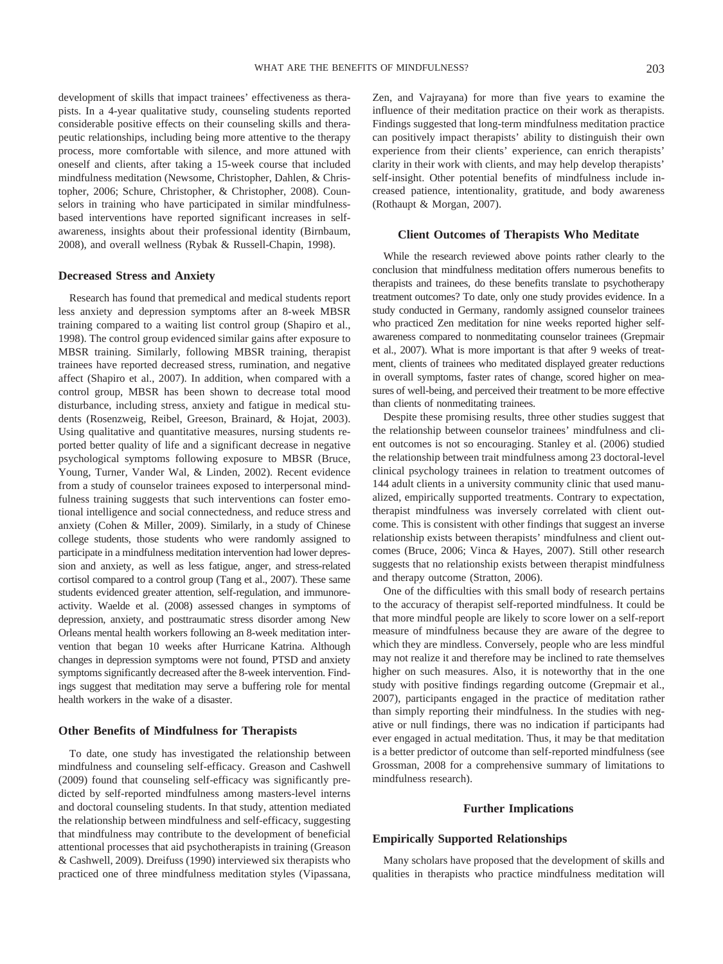development of skills that impact trainees' effectiveness as therapists. In a 4-year qualitative study, counseling students reported considerable positive effects on their counseling skills and therapeutic relationships, including being more attentive to the therapy process, more comfortable with silence, and more attuned with oneself and clients, after taking a 15-week course that included mindfulness meditation (Newsome, Christopher, Dahlen, & Christopher, 2006; Schure, Christopher, & Christopher, 2008). Counselors in training who have participated in similar mindfulnessbased interventions have reported significant increases in selfawareness, insights about their professional identity (Birnbaum, 2008), and overall wellness (Rybak & Russell-Chapin, 1998).

#### **Decreased Stress and Anxiety**

Research has found that premedical and medical students report less anxiety and depression symptoms after an 8-week MBSR training compared to a waiting list control group (Shapiro et al., 1998). The control group evidenced similar gains after exposure to MBSR training. Similarly, following MBSR training, therapist trainees have reported decreased stress, rumination, and negative affect (Shapiro et al., 2007). In addition, when compared with a control group, MBSR has been shown to decrease total mood disturbance, including stress, anxiety and fatigue in medical students (Rosenzweig, Reibel, Greeson, Brainard, & Hojat, 2003). Using qualitative and quantitative measures, nursing students reported better quality of life and a significant decrease in negative psychological symptoms following exposure to MBSR (Bruce, Young, Turner, Vander Wal, & Linden, 2002). Recent evidence from a study of counselor trainees exposed to interpersonal mindfulness training suggests that such interventions can foster emotional intelligence and social connectedness, and reduce stress and anxiety (Cohen & Miller, 2009). Similarly, in a study of Chinese college students, those students who were randomly assigned to participate in a mindfulness meditation intervention had lower depression and anxiety, as well as less fatigue, anger, and stress-related cortisol compared to a control group (Tang et al., 2007). These same students evidenced greater attention, self-regulation, and immunoreactivity. Waelde et al. (2008) assessed changes in symptoms of depression, anxiety, and posttraumatic stress disorder among New Orleans mental health workers following an 8-week meditation intervention that began 10 weeks after Hurricane Katrina. Although changes in depression symptoms were not found, PTSD and anxiety symptoms significantly decreased after the 8-week intervention. Findings suggest that meditation may serve a buffering role for mental health workers in the wake of a disaster.

#### **Other Benefits of Mindfulness for Therapists**

To date, one study has investigated the relationship between mindfulness and counseling self-efficacy. Greason and Cashwell (2009) found that counseling self-efficacy was significantly predicted by self-reported mindfulness among masters-level interns and doctoral counseling students. In that study, attention mediated the relationship between mindfulness and self-efficacy, suggesting that mindfulness may contribute to the development of beneficial attentional processes that aid psychotherapists in training (Greason & Cashwell, 2009). Dreifuss (1990) interviewed six therapists who practiced one of three mindfulness meditation styles (Vipassana,

Zen, and Vajrayana) for more than five years to examine the influence of their meditation practice on their work as therapists. Findings suggested that long-term mindfulness meditation practice can positively impact therapists' ability to distinguish their own experience from their clients' experience, can enrich therapists' clarity in their work with clients, and may help develop therapists' self-insight. Other potential benefits of mindfulness include increased patience, intentionality, gratitude, and body awareness (Rothaupt & Morgan, 2007).

#### **Client Outcomes of Therapists Who Meditate**

While the research reviewed above points rather clearly to the conclusion that mindfulness meditation offers numerous benefits to therapists and trainees, do these benefits translate to psychotherapy treatment outcomes? To date, only one study provides evidence. In a study conducted in Germany, randomly assigned counselor trainees who practiced Zen meditation for nine weeks reported higher selfawareness compared to nonmeditating counselor trainees (Grepmair et al., 2007). What is more important is that after 9 weeks of treatment, clients of trainees who meditated displayed greater reductions in overall symptoms, faster rates of change, scored higher on measures of well-being, and perceived their treatment to be more effective than clients of nonmeditating trainees.

Despite these promising results, three other studies suggest that the relationship between counselor trainees' mindfulness and client outcomes is not so encouraging. Stanley et al. (2006) studied the relationship between trait mindfulness among 23 doctoral-level clinical psychology trainees in relation to treatment outcomes of 144 adult clients in a university community clinic that used manualized, empirically supported treatments. Contrary to expectation, therapist mindfulness was inversely correlated with client outcome. This is consistent with other findings that suggest an inverse relationship exists between therapists' mindfulness and client outcomes (Bruce, 2006; Vinca & Hayes, 2007). Still other research suggests that no relationship exists between therapist mindfulness and therapy outcome (Stratton, 2006).

One of the difficulties with this small body of research pertains to the accuracy of therapist self-reported mindfulness. It could be that more mindful people are likely to score lower on a self-report measure of mindfulness because they are aware of the degree to which they are mindless. Conversely, people who are less mindful may not realize it and therefore may be inclined to rate themselves higher on such measures. Also, it is noteworthy that in the one study with positive findings regarding outcome (Grepmair et al., 2007), participants engaged in the practice of meditation rather than simply reporting their mindfulness. In the studies with negative or null findings, there was no indication if participants had ever engaged in actual meditation. Thus, it may be that meditation is a better predictor of outcome than self-reported mindfulness (see Grossman, 2008 for a comprehensive summary of limitations to mindfulness research).

#### **Further Implications**

#### **Empirically Supported Relationships**

Many scholars have proposed that the development of skills and qualities in therapists who practice mindfulness meditation will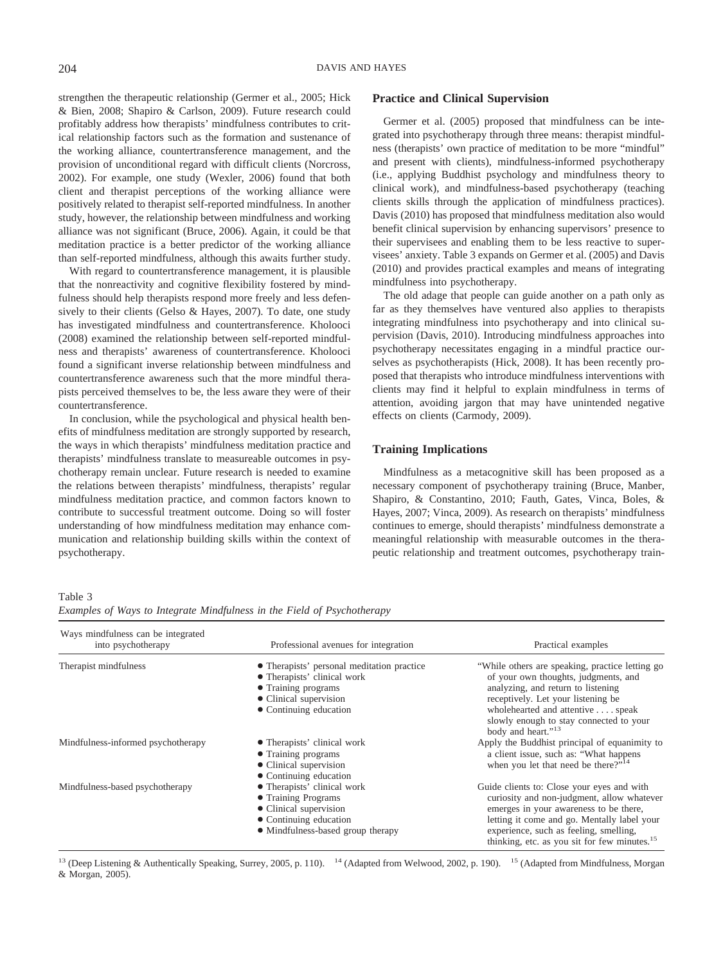strengthen the therapeutic relationship (Germer et al., 2005; Hick & Bien, 2008; Shapiro & Carlson, 2009). Future research could profitably address how therapists' mindfulness contributes to critical relationship factors such as the formation and sustenance of the working alliance, countertransference management, and the provision of unconditional regard with difficult clients (Norcross, 2002). For example, one study (Wexler, 2006) found that both client and therapist perceptions of the working alliance were positively related to therapist self-reported mindfulness. In another study, however, the relationship between mindfulness and working alliance was not significant (Bruce, 2006). Again, it could be that meditation practice is a better predictor of the working alliance than self-reported mindfulness, although this awaits further study.

With regard to countertransference management, it is plausible that the nonreactivity and cognitive flexibility fostered by mindfulness should help therapists respond more freely and less defensively to their clients (Gelso & Hayes, 2007). To date, one study has investigated mindfulness and countertransference. Kholooci (2008) examined the relationship between self-reported mindfulness and therapists' awareness of countertransference. Kholooci found a significant inverse relationship between mindfulness and countertransference awareness such that the more mindful therapists perceived themselves to be, the less aware they were of their countertransference.

In conclusion, while the psychological and physical health benefits of mindfulness meditation are strongly supported by research, the ways in which therapists' mindfulness meditation practice and therapists' mindfulness translate to measureable outcomes in psychotherapy remain unclear. Future research is needed to examine the relations between therapists' mindfulness, therapists' regular mindfulness meditation practice, and common factors known to contribute to successful treatment outcome. Doing so will foster understanding of how mindfulness meditation may enhance communication and relationship building skills within the context of psychotherapy.

#### **Practice and Clinical Supervision**

Germer et al. (2005) proposed that mindfulness can be integrated into psychotherapy through three means: therapist mindfulness (therapists' own practice of meditation to be more "mindful" and present with clients), mindfulness-informed psychotherapy (i.e., applying Buddhist psychology and mindfulness theory to clinical work), and mindfulness-based psychotherapy (teaching clients skills through the application of mindfulness practices). Davis (2010) has proposed that mindfulness meditation also would benefit clinical supervision by enhancing supervisors' presence to their supervisees and enabling them to be less reactive to supervisees' anxiety. Table 3 expands on Germer et al. (2005) and Davis (2010) and provides practical examples and means of integrating mindfulness into psychotherapy.

The old adage that people can guide another on a path only as far as they themselves have ventured also applies to therapists integrating mindfulness into psychotherapy and into clinical supervision (Davis, 2010). Introducing mindfulness approaches into psychotherapy necessitates engaging in a mindful practice ourselves as psychotherapists (Hick, 2008). It has been recently proposed that therapists who introduce mindfulness interventions with clients may find it helpful to explain mindfulness in terms of attention, avoiding jargon that may have unintended negative effects on clients (Carmody, 2009).

## **Training Implications**

Mindfulness as a metacognitive skill has been proposed as a necessary component of psychotherapy training (Bruce, Manber, Shapiro, & Constantino, 2010; Fauth, Gates, Vinca, Boles, & Hayes, 2007; Vinca, 2009). As research on therapists' mindfulness continues to emerge, should therapists' mindfulness demonstrate a meaningful relationship with measurable outcomes in the therapeutic relationship and treatment outcomes, psychotherapy train-

Table 3

*Examples of Ways to Integrate Mindfulness in the Field of Psychotherapy*

| Ways mindfulness can be integrated<br>into psychotherapy | Professional avenues for integration                                      | Practical examples                                                                                            |
|----------------------------------------------------------|---------------------------------------------------------------------------|---------------------------------------------------------------------------------------------------------------|
| Therapist mindfulness                                    | • Therapists' personal meditation practice<br>• Therapists' clinical work | "While others are speaking, practice letting go<br>of your own thoughts, judgments, and                       |
|                                                          | • Training programs                                                       | analyzing, and return to listening                                                                            |
|                                                          | • Clinical supervision                                                    | receptively. Let your listening be                                                                            |
|                                                          | • Continuing education                                                    | wholehearted and attentive speak<br>slowly enough to stay connected to your<br>body and heart." <sup>13</sup> |
| Mindfulness-informed psychotherapy                       | • Therapists' clinical work                                               | Apply the Buddhist principal of equanimity to                                                                 |
|                                                          | • Training programs                                                       | a client issue, such as: "What happens"                                                                       |
|                                                          | • Clinical supervision                                                    | when you let that need be there?" <sup>14</sup>                                                               |
|                                                          | • Continuing education                                                    |                                                                                                               |
| Mindfulness-based psychotherapy                          | • Therapists' clinical work                                               | Guide clients to: Close your eyes and with                                                                    |
|                                                          | • Training Programs                                                       | curiosity and non-judgment, allow whatever                                                                    |
|                                                          | • Clinical supervision                                                    | emerges in your awareness to be there,                                                                        |
|                                                          | • Continuing education                                                    | letting it come and go. Mentally label your                                                                   |
|                                                          | • Mindfulness-based group therapy                                         | experience, such as feeling, smelling,<br>thinking, etc. as you sit for few minutes. <sup>15</sup>            |

<sup>13</sup> (Deep Listening & Authentically Speaking, Surrey, 2005, p. 110). <sup>14</sup> (Adapted from Welwood, 2002, p. 190). <sup>15</sup> (Adapted from Mindfulness, Morgan

& Morgan, 2005).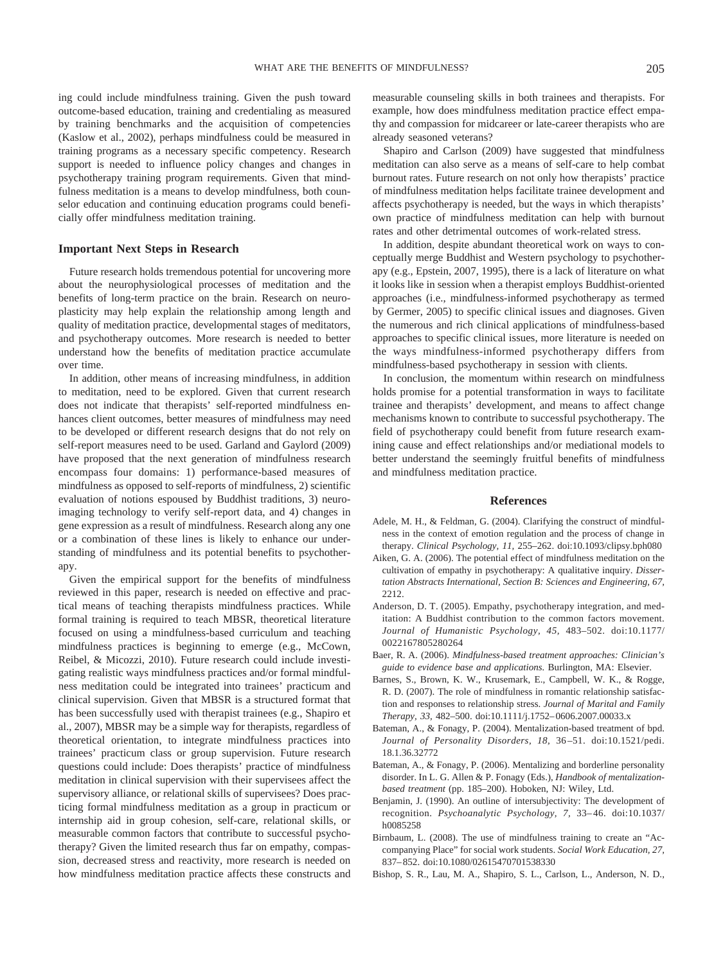ing could include mindfulness training. Given the push toward outcome-based education, training and credentialing as measured by training benchmarks and the acquisition of competencies (Kaslow et al., 2002), perhaps mindfulness could be measured in training programs as a necessary specific competency. Research support is needed to influence policy changes and changes in psychotherapy training program requirements. Given that mindfulness meditation is a means to develop mindfulness, both counselor education and continuing education programs could beneficially offer mindfulness meditation training.

#### **Important Next Steps in Research**

Future research holds tremendous potential for uncovering more about the neurophysiological processes of meditation and the benefits of long-term practice on the brain. Research on neuroplasticity may help explain the relationship among length and quality of meditation practice, developmental stages of meditators, and psychotherapy outcomes. More research is needed to better understand how the benefits of meditation practice accumulate over time.

In addition, other means of increasing mindfulness, in addition to meditation, need to be explored. Given that current research does not indicate that therapists' self-reported mindfulness enhances client outcomes, better measures of mindfulness may need to be developed or different research designs that do not rely on self-report measures need to be used. Garland and Gaylord (2009) have proposed that the next generation of mindfulness research encompass four domains: 1) performance-based measures of mindfulness as opposed to self-reports of mindfulness, 2) scientific evaluation of notions espoused by Buddhist traditions, 3) neuroimaging technology to verify self-report data, and 4) changes in gene expression as a result of mindfulness. Research along any one or a combination of these lines is likely to enhance our understanding of mindfulness and its potential benefits to psychotherapy.

Given the empirical support for the benefits of mindfulness reviewed in this paper, research is needed on effective and practical means of teaching therapists mindfulness practices. While formal training is required to teach MBSR, theoretical literature focused on using a mindfulness-based curriculum and teaching mindfulness practices is beginning to emerge (e.g., McCown, Reibel, & Micozzi, 2010). Future research could include investigating realistic ways mindfulness practices and/or formal mindfulness meditation could be integrated into trainees' practicum and clinical supervision. Given that MBSR is a structured format that has been successfully used with therapist trainees (e.g., Shapiro et al., 2007), MBSR may be a simple way for therapists, regardless of theoretical orientation, to integrate mindfulness practices into trainees' practicum class or group supervision. Future research questions could include: Does therapists' practice of mindfulness meditation in clinical supervision with their supervisees affect the supervisory alliance, or relational skills of supervisees? Does practicing formal mindfulness meditation as a group in practicum or internship aid in group cohesion, self-care, relational skills, or measurable common factors that contribute to successful psychotherapy? Given the limited research thus far on empathy, compassion, decreased stress and reactivity, more research is needed on how mindfulness meditation practice affects these constructs and measurable counseling skills in both trainees and therapists. For example, how does mindfulness meditation practice effect empathy and compassion for midcareer or late-career therapists who are already seasoned veterans?

Shapiro and Carlson (2009) have suggested that mindfulness meditation can also serve as a means of self-care to help combat burnout rates. Future research on not only how therapists' practice of mindfulness meditation helps facilitate trainee development and affects psychotherapy is needed, but the ways in which therapists' own practice of mindfulness meditation can help with burnout rates and other detrimental outcomes of work-related stress.

In addition, despite abundant theoretical work on ways to conceptually merge Buddhist and Western psychology to psychotherapy (e.g., Epstein, 2007, 1995), there is a lack of literature on what it looks like in session when a therapist employs Buddhist-oriented approaches (i.e., mindfulness-informed psychotherapy as termed by Germer, 2005) to specific clinical issues and diagnoses. Given the numerous and rich clinical applications of mindfulness-based approaches to specific clinical issues, more literature is needed on the ways mindfulness-informed psychotherapy differs from mindfulness-based psychotherapy in session with clients.

In conclusion, the momentum within research on mindfulness holds promise for a potential transformation in ways to facilitate trainee and therapists' development, and means to affect change mechanisms known to contribute to successful psychotherapy. The field of psychotherapy could benefit from future research examining cause and effect relationships and/or mediational models to better understand the seemingly fruitful benefits of mindfulness and mindfulness meditation practice.

#### **References**

- Adele, M. H., & Feldman, G. (2004). Clarifying the construct of mindfulness in the context of emotion regulation and the process of change in therapy. *Clinical Psychology, 11,* 255–262. doi:10.1093/clipsy.bph080
- Aiken, G. A. (2006). The potential effect of mindfulness meditation on the cultivation of empathy in psychotherapy: A qualitative inquiry. *Dissertation Abstracts International, Section B: Sciences and Engineering, 67,* 2212.
- Anderson, D. T. (2005). Empathy, psychotherapy integration, and meditation: A Buddhist contribution to the common factors movement. *Journal of Humanistic Psychology, 45,* 483–502. doi:10.1177/ 0022167805280264
- Baer, R. A. (2006). *Mindfulness-based treatment approaches: Clinician's guide to evidence base and applications.* Burlington, MA: Elsevier.
- Barnes, S., Brown, K. W., Krusemark, E., Campbell, W. K., & Rogge, R. D. (2007). The role of mindfulness in romantic relationship satisfaction and responses to relationship stress. *Journal of Marital and Family Therapy, 33,* 482–500. doi:10.1111/j.1752– 0606.2007.00033.x
- Bateman, A., & Fonagy, P. (2004). Mentalization-based treatment of bpd. *Journal of Personality Disorders, 18,* 36 –51. doi:10.1521/pedi. 18.1.36.32772
- Bateman, A., & Fonagy, P. (2006). Mentalizing and borderline personality disorder. In L. G. Allen & P. Fonagy (Eds.), *Handbook of mentalizationbased treatment* (pp. 185–200). Hoboken, NJ: Wiley, Ltd.
- Benjamin, J. (1990). An outline of intersubjectivity: The development of recognition. *Psychoanalytic Psychology, 7,* 33– 46. doi:10.1037/ h0085258
- Birnbaum, L. (2008). The use of mindfulness training to create an "Accompanying Place" for social work students. *Social Work Education, 27,* 837– 852. doi:10.1080/02615470701538330
- Bishop, S. R., Lau, M. A., Shapiro, S. L., Carlson, L., Anderson, N. D.,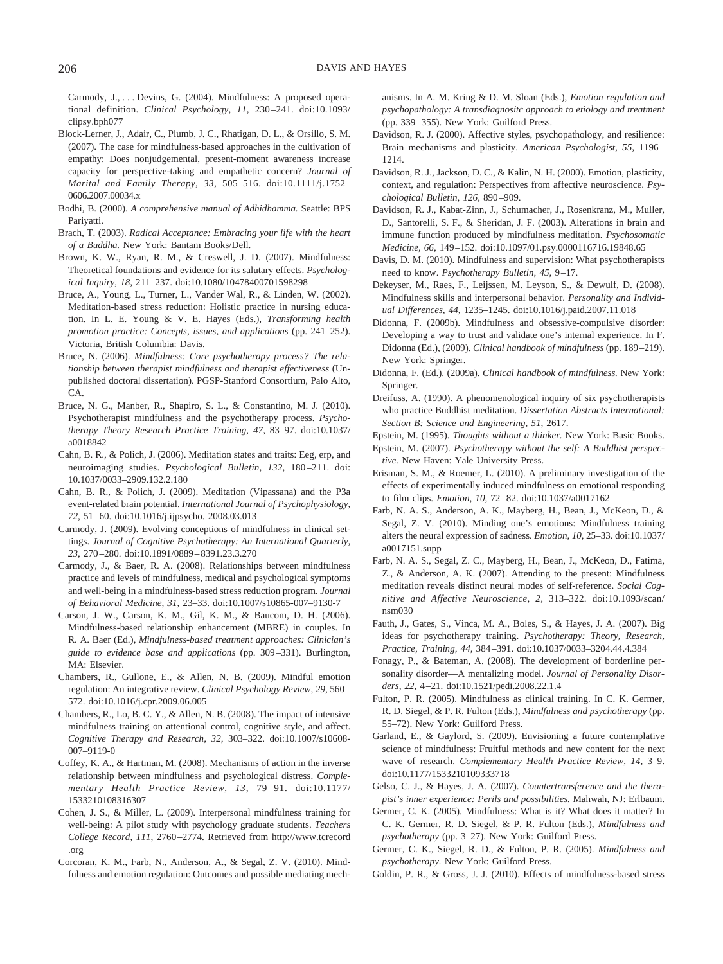Carmody, J.,... Devins, G. (2004). Mindfulness: A proposed operational definition. *Clinical Psychology, 11,* 230 –241. doi:10.1093/ clipsy.bph077

- Block-Lerner, J., Adair, C., Plumb, J. C., Rhatigan, D. L., & Orsillo, S. M. (2007). The case for mindfulness-based approaches in the cultivation of empathy: Does nonjudgemental, present-moment awareness increase capacity for perspective-taking and empathetic concern? *Journal of Marital and Family Therapy, 33,* 505–516. doi:10.1111/j.1752– 0606.2007.00034.x
- Bodhi, B. (2000). *A comprehensive manual of Adhidhamma.* Seattle: BPS Pariyatti.
- Brach, T. (2003). *Radical Acceptance: Embracing your life with the heart of a Buddha.* New York: Bantam Books/Dell.
- Brown, K. W., Ryan, R. M., & Creswell, J. D. (2007). Mindfulness: Theoretical foundations and evidence for its salutary effects. *Psychological Inquiry, 18,* 211–237. doi:10.1080/10478400701598298
- Bruce, A., Young, L., Turner, L., Vander Wal, R., & Linden, W. (2002). Meditation-based stress reduction: Holistic practice in nursing education. In L. E. Young & V. E. Hayes (Eds.), *Transforming health promotion practice: Concepts, issues, and applications* (pp. 241–252). Victoria, British Columbia: Davis.
- Bruce, N. (2006). *Mindfulness: Core psychotherapy process? The relationship between therapist mindfulness and therapist effectiveness* (Unpublished doctoral dissertation). PGSP-Stanford Consortium, Palo Alto,  $\overline{C}$
- Bruce, N. G., Manber, R., Shapiro, S. L., & Constantino, M. J. (2010). Psychotherapist mindfulness and the psychotherapy process. *Psychotherapy Theory Research Practice Training, 47,* 83–97. doi:10.1037/ a0018842
- Cahn, B. R., & Polich, J. (2006). Meditation states and traits: Eeg, erp, and neuroimaging studies. *Psychological Bulletin*, 132, 180-211. doi: 10.1037/0033–2909.132.2.180
- Cahn, B. R., & Polich, J. (2009). Meditation (Vipassana) and the P3a event-related brain potential. *International Journal of Psychophysiology, 72,* 51– 60. doi:10.1016/j.ijpsycho. 2008.03.013
- Carmody, J. (2009). Evolving conceptions of mindfulness in clinical settings. *Journal of Cognitive Psychotherapy: An International Quarterly, 23,* 270 –280. doi:10.1891/0889 – 8391.23.3.270
- Carmody, J., & Baer, R. A. (2008). Relationships between mindfulness practice and levels of mindfulness, medical and psychological symptoms and well-being in a mindfulness-based stress reduction program. *Journal of Behavioral Medicine, 31,* 23–33. doi:10.1007/s10865-007–9130-7
- Carson, J. W., Carson, K. M., Gil, K. M., & Baucom, D. H. (2006). Mindfulness-based relationship enhancement (MBRE) in couples. In R. A. Baer (Ed.), *Mindfulness-based treatment approaches: Clinician's guide to evidence base and applications* (pp. 309 –331). Burlington, MA: Elsevier.
- Chambers, R., Gullone, E., & Allen, N. B. (2009). Mindful emotion regulation: An integrative review. *Clinical Psychology Review, 29,* 560 – 572. doi:10.1016/j.cpr.2009.06.005
- Chambers, R., Lo, B. C. Y., & Allen, N. B. (2008). The impact of intensive mindfulness training on attentional control, cognitive style, and affect. *Cognitive Therapy and Research, 32,* 303–322. doi:10.1007/s10608- 007–9119-0
- Coffey, K. A., & Hartman, M. (2008). Mechanisms of action in the inverse relationship between mindfulness and psychological distress. *Complementary Health Practice Review, 13,* 79 –91. doi:10.1177/ 1533210108316307
- Cohen, J. S., & Miller, L. (2009). Interpersonal mindfulness training for well-being: A pilot study with psychology graduate students. *Teachers College Record, 111,* 2760 –2774. Retrieved from http://www.tcrecord .org
- Corcoran, K. M., Farb, N., Anderson, A., & Segal, Z. V. (2010). Mindfulness and emotion regulation: Outcomes and possible mediating mech-

anisms. In A. M. Kring & D. M. Sloan (Eds.), *Emotion regulation and psychopathology: A transdiagnositc approach to etiology and treatment* (pp. 339 –355). New York: Guilford Press.

- Davidson, R. J. (2000). Affective styles, psychopathology, and resilience: Brain mechanisms and plasticity. *American Psychologist, 55,* 1196 – 1214.
- Davidson, R. J., Jackson, D. C., & Kalin, N. H. (2000). Emotion, plasticity, context, and regulation: Perspectives from affective neuroscience. *Psychological Bulletin, 126,* 890 –909.
- Davidson, R. J., Kabat-Zinn, J., Schumacher, J., Rosenkranz, M., Muller, D., Santorelli, S. F., & Sheridan, J. F. (2003). Alterations in brain and immune function produced by mindfulness meditation. *Psychosomatic Medicine, 66,* 149 –152. doi:10.1097/01.psy.0000116716.19848.65
- Davis, D. M. (2010). Mindfulness and supervision: What psychotherapists need to know. *Psychotherapy Bulletin, 45,* 9 –17.
- Dekeyser, M., Raes, F., Leijssen, M. Leyson, S., & Dewulf, D. (2008). Mindfulness skills and interpersonal behavior. *Personality and Individual Differences, 44,* 1235–1245. doi:10.1016/j.paid.2007.11.018
- Didonna, F. (2009b). Mindfulness and obsessive-compulsive disorder: Developing a way to trust and validate one's internal experience. In F. Didonna (Ed.), (2009). *Clinical handbook of mindfulness* (pp. 189 –219). New York: Springer.
- Didonna, F. (Ed.). (2009a). *Clinical handbook of mindfulness.* New York: Springer.
- Dreifuss, A. (1990). A phenomenological inquiry of six psychotherapists who practice Buddhist meditation. *Dissertation Abstracts International: Section B: Science and Engineering, 51,* 2617.
- Epstein, M. (1995). *Thoughts without a thinker.* New York: Basic Books.
- Epstein, M. (2007). *Psychotherapy without the self: A Buddhist perspective.* New Haven: Yale University Press.
- Erisman, S. M., & Roemer, L. (2010). A preliminary investigation of the effects of experimentally induced mindfulness on emotional responding to film clips. *Emotion, 10,* 72– 82. doi:10.1037/a0017162
- Farb, N. A. S., Anderson, A. K., Mayberg, H., Bean, J., McKeon, D., & Segal, Z. V. (2010). Minding one's emotions: Mindfulness training alters the neural expression of sadness. *Emotion, 10,* 25–33. doi:10.1037/ a0017151.supp
- Farb, N. A. S., Segal, Z. C., Mayberg, H., Bean, J., McKeon, D., Fatima, Z., & Anderson, A. K. (2007). Attending to the present: Mindfulness meditation reveals distinct neural modes of self-reference. *Social Cognitive and Affective Neuroscience, 2,* 313–322. doi:10.1093/scan/ nsm030
- Fauth, J., Gates, S., Vinca, M. A., Boles, S., & Hayes, J. A. (2007). Big ideas for psychotherapy training. *Psychotherapy: Theory, Research, Practice, Training, 44,* 384 –391. doi:10.1037/0033–3204.44.4.384
- Fonagy, P., & Bateman, A. (2008). The development of borderline personality disorder—A mentalizing model. *Journal of Personality Disorders, 22,* 4 –21. doi:10.1521/pedi.2008.22.1.4
- Fulton, P. R. (2005). Mindfulness as clinical training. In C. K. Germer, R. D. Siegel, & P. R. Fulton (Eds.), *Mindfulness and psychotherapy* (pp. 55–72). New York: Guilford Press.
- Garland, E., & Gaylord, S. (2009). Envisioning a future contemplative science of mindfulness: Fruitful methods and new content for the next wave of research. *Complementary Health Practice Review, 14,* 3–9. doi:10.1177/1533210109333718
- Gelso, C. J., & Hayes, J. A. (2007). *Countertransference and the therapist's inner experience: Perils and possibilities.* Mahwah, NJ: Erlbaum.
- Germer, C. K. (2005). Mindfulness: What is it? What does it matter? In C. K. Germer, R. D. Siegel, & P. R. Fulton (Eds.), *Mindfulness and psychotherapy* (pp. 3–27). New York: Guilford Press.
- Germer, C. K., Siegel, R. D., & Fulton, P. R. (2005). *Mindfulness and psychotherapy.* New York: Guilford Press.
- Goldin, P. R., & Gross, J. J. (2010). Effects of mindfulness-based stress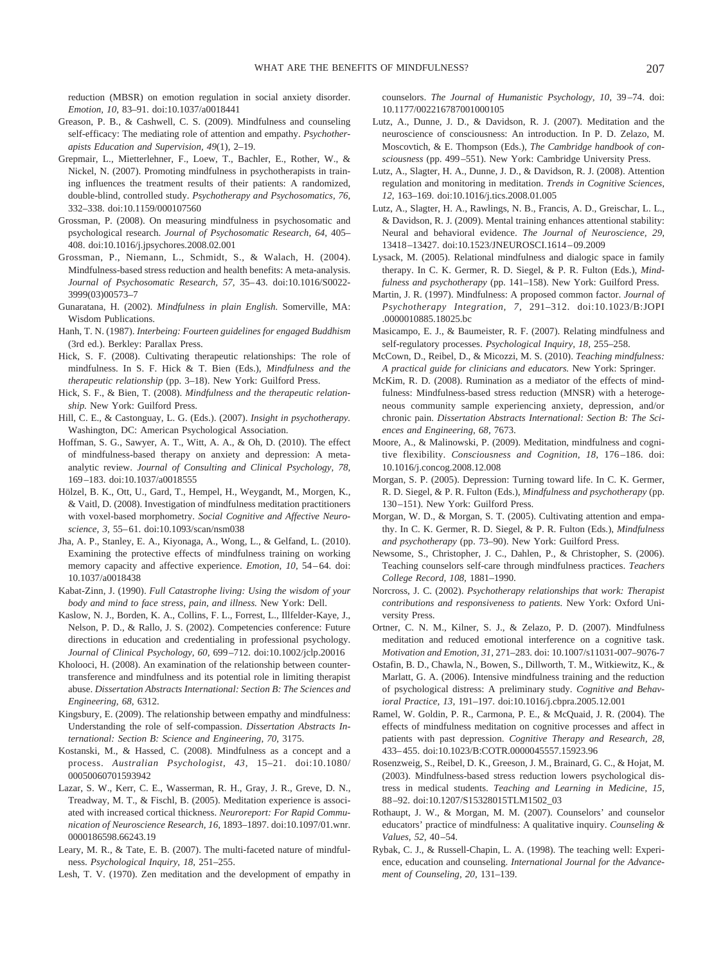reduction (MBSR) on emotion regulation in social anxiety disorder. *Emotion, 10,* 83–91. doi:10.1037/a0018441

- Greason, P. B., & Cashwell, C. S. (2009). Mindfulness and counseling self-efficacy: The mediating role of attention and empathy. *Psychotherapists Education and Supervision, 49*(1), 2–19.
- Grepmair, L., Mietterlehner, F., Loew, T., Bachler, E., Rother, W., & Nickel, N. (2007). Promoting mindfulness in psychotherapists in training influences the treatment results of their patients: A randomized, double-blind, controlled study. *Psychotherapy and Psychosomatics, 76,* 332–338. doi:10.1159/000107560
- Grossman, P. (2008). On measuring mindfulness in psychosomatic and psychological research. *Journal of Psychosomatic Research, 64,* 405– 408. doi:10.1016/j.jpsychores.2008.02.001
- Grossman, P., Niemann, L., Schmidt, S., & Walach, H. (2004). Mindfulness-based stress reduction and health benefits: A meta-analysis. *Journal of Psychosomatic Research, 57,* 35– 43. doi:10.1016/S0022- 3999(03)00573–7
- Gunaratana, H. (2002). *Mindfulness in plain English.* Somerville, MA: Wisdom Publications.
- Hanh, T. N. (1987). *Interbeing: Fourteen guidelines for engaged Buddhism* (3rd ed.). Berkley: Parallax Press.
- Hick, S. F. (2008). Cultivating therapeutic relationships: The role of mindfulness. In S. F. Hick & T. Bien (Eds.), *Mindfulness and the therapeutic relationship* (pp. 3–18). New York: Guilford Press.
- Hick, S. F., & Bien, T. (2008). *Mindfulness and the therapeutic relationship.* New York: Guilford Press.
- Hill, C. E., & Castonguay, L. G. (Eds.). (2007). *Insight in psychotherapy.* Washington, DC: American Psychological Association.
- Hoffman, S. G., Sawyer, A. T., Witt, A. A., & Oh, D. (2010). The effect of mindfulness-based therapy on anxiety and depression: A metaanalytic review. *Journal of Consulting and Clinical Psychology, 78,* 169 –183. doi:10.1037/a0018555
- Hölzel, B. K., Ott, U., Gard, T., Hempel, H., Weygandt, M., Morgen, K., & Vaitl, D. (2008). Investigation of mindfulness meditation practitioners with voxel-based morphometry. *Social Cognitive and Affective Neuroscience, 3,* 55– 61. doi:10.1093/scan/nsm038
- Jha, A. P., Stanley, E. A., Kiyonaga, A., Wong, L., & Gelfand, L. (2010). Examining the protective effects of mindfulness training on working memory capacity and affective experience. *Emotion, 10, 54*-64. doi: 10.1037/a0018438
- Kabat-Zinn, J. (1990). *Full Catastrophe living: Using the wisdom of your body and mind to face stress, pain, and illness.* New York: Dell.
- Kaslow, N. J., Borden, K. A., Collins, F. L., Forrest, L., Illfelder-Kaye, J., Nelson, P. D., & Rallo, J. S. (2002). Competencies conference: Future directions in education and credentialing in professional psychology. *Journal of Clinical Psychology, 60,* 699 –712. doi:10.1002/jclp.20016
- Kholooci, H. (2008). An examination of the relationship between countertransference and mindfulness and its potential role in limiting therapist abuse. *Dissertation Abstracts International: Section B: The Sciences and Engineering, 68,* 6312.
- Kingsbury, E. (2009). The relationship between empathy and mindfulness: Understanding the role of self-compassion. *Dissertation Abstracts International: Section B: Science and Engineering, 70,* 3175.
- Kostanski, M., & Hassed, C. (2008). Mindfulness as a concept and a process. *Australian Psychologist, 43,* 15–21. doi:10.1080/ 00050060701593942
- Lazar, S. W., Kerr, C. E., Wasserman, R. H., Gray, J. R., Greve, D. N., Treadway, M. T., & Fischl, B. (2005). Meditation experience is associated with increased cortical thickness. *Neuroreport: For Rapid Communication of Neuroscience Research, 16,* 1893–1897. doi:10.1097/01.wnr. 0000186598.66243.19
- Leary, M. R., & Tate, E. B. (2007). The multi-faceted nature of mindfulness. *Psychological Inquiry, 18,* 251–255.
- Lesh, T. V. (1970). Zen meditation and the development of empathy in

counselors. *The Journal of Humanistic Psychology, 10, 39-74.* doi: 10.1177/002216787001000105

- Lutz, A., Dunne, J. D., & Davidson, R. J. (2007). Meditation and the neuroscience of consciousness: An introduction. In P. D. Zelazo, M. Moscovtich, & E. Thompson (Eds.), *The Cambridge handbook of consciousness* (pp. 499 –551). New York: Cambridge University Press.
- Lutz, A., Slagter, H. A., Dunne, J. D., & Davidson, R. J. (2008). Attention regulation and monitoring in meditation. *Trends in Cognitive Sciences, 12,* 163–169. doi:10.1016/j.tics.2008.01.005
- Lutz, A., Slagter, H. A., Rawlings, N. B., Francis, A. D., Greischar, L. L., & Davidson, R. J. (2009). Mental training enhances attentional stability: Neural and behavioral evidence. *The Journal of Neuroscience, 29,* 13418 –13427. doi:10.1523/JNEUROSCI.1614 – 09.2009
- Lysack, M. (2005). Relational mindfulness and dialogic space in family therapy. In C. K. Germer, R. D. Siegel, & P. R. Fulton (Eds.), *Mindfulness and psychotherapy* (pp. 141–158). New York: Guilford Press.
- Martin, J. R. (1997). Mindfulness: A proposed common factor. *Journal of Psychotherapy Integration, 7,* 291–312. doi:10.1023/B:JOPI .0000010885.18025.bc
- Masicampo, E. J., & Baumeister, R. F. (2007). Relating mindfulness and self-regulatory processes. *Psychological Inquiry, 18,* 255–258.
- McCown, D., Reibel, D., & Micozzi, M. S. (2010). *Teaching mindfulness: A practical guide for clinicians and educators.* New York: Springer.
- McKim, R. D. (2008). Rumination as a mediator of the effects of mindfulness: Mindfulness-based stress reduction (MNSR) with a heterogeneous community sample experiencing anxiety, depression, and/or chronic pain. *Dissertation Abstracts International: Section B: The Sciences and Engineering, 68,* 7673.
- Moore, A., & Malinowski, P. (2009). Meditation, mindfulness and cognitive flexibility. Consciousness and Cognition, 18, 176-186. doi: 10.1016/j.concog.2008.12.008
- Morgan, S. P. (2005). Depression: Turning toward life. In C. K. Germer, R. D. Siegel, & P. R. Fulton (Eds.), *Mindfulness and psychotherapy* (pp. 130 –151). New York: Guilford Press.
- Morgan, W. D., & Morgan, S. T. (2005). Cultivating attention and empathy. In C. K. Germer, R. D. Siegel, & P. R. Fulton (Eds.), *Mindfulness and psychotherapy* (pp. 73–90). New York: Guilford Press.
- Newsome, S., Christopher, J. C., Dahlen, P., & Christopher, S. (2006). Teaching counselors self-care through mindfulness practices. *Teachers College Record, 108,* 1881–1990.
- Norcross, J. C. (2002). *Psychotherapy relationships that work: Therapist contributions and responsiveness to patients.* New York: Oxford University Press.
- Ortner, C. N. M., Kilner, S. J., & Zelazo, P. D. (2007). Mindfulness meditation and reduced emotional interference on a cognitive task. *Motivation and Emotion, 31,* 271–283. doi: 10.1007/s11031-007–9076-7
- Ostafin, B. D., Chawla, N., Bowen, S., Dillworth, T. M., Witkiewitz, K., & Marlatt, G. A. (2006). Intensive mindfulness training and the reduction of psychological distress: A preliminary study. *Cognitive and Behavioral Practice, 13,* 191–197. doi:10.1016/j.cbpra.2005.12.001
- Ramel, W. Goldin, P. R., Carmona, P. E., & McQuaid, J. R. (2004). The effects of mindfulness meditation on cognitive processes and affect in patients with past depression. *Cognitive Therapy and Research, 28,* 433– 455. doi:10.1023/B:COTR.0000045557.15923.96
- Rosenzweig, S., Reibel, D. K., Greeson, J. M., Brainard, G. C., & Hojat, M. (2003). Mindfulness-based stress reduction lowers psychological distress in medical students. *Teaching and Learning in Medicine, 15,* 88 –92. doi:10.1207/S15328015TLM1502\_03
- Rothaupt, J. W., & Morgan, M. M. (2007). Counselors' and counselor educators' practice of mindfulness: A qualitative inquiry. *Counseling & Values, 52,* 40 –54.
- Rybak, C. J., & Russell-Chapin, L. A. (1998). The teaching well: Experience, education and counseling. *International Journal for the Advancement of Counseling, 20,* 131–139.